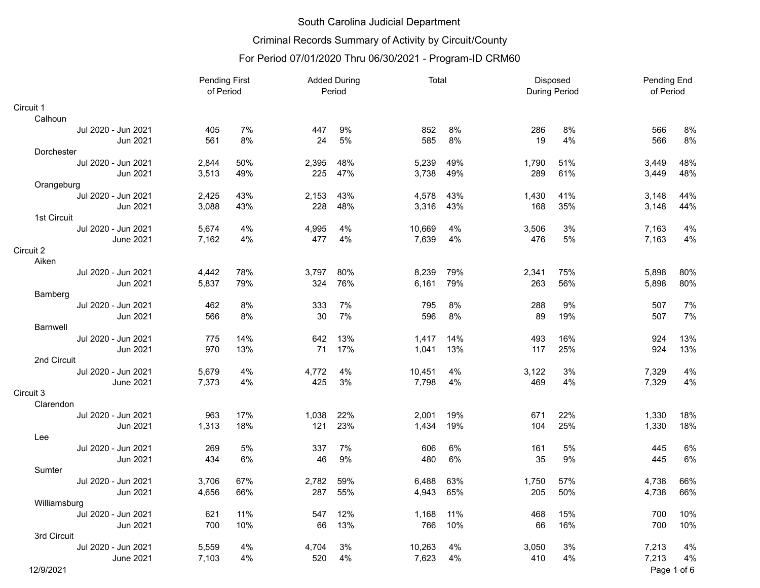# Criminal Records Summary of Activity by Circuit/County

| <b>Pending First</b><br>of Period |       |     | <b>Added During</b><br>Period |     | Total  |     | Disposed<br><b>During Period</b> |     | Pending End<br>of Period |             |
|-----------------------------------|-------|-----|-------------------------------|-----|--------|-----|----------------------------------|-----|--------------------------|-------------|
| Circuit 1                         |       |     |                               |     |        |     |                                  |     |                          |             |
| Calhoun                           |       |     |                               |     |        |     |                                  |     |                          |             |
| Jul 2020 - Jun 2021               | 405   | 7%  | 447                           | 9%  | 852    | 8%  | 286                              | 8%  | 566                      | 8%          |
| Jun 2021                          | 561   | 8%  | 24                            | 5%  | 585    | 8%  | 19                               | 4%  | 566                      | 8%          |
| Dorchester                        |       |     |                               |     |        |     |                                  |     |                          |             |
| Jul 2020 - Jun 2021               | 2,844 | 50% | 2,395                         | 48% | 5,239  | 49% | 1,790                            | 51% | 3,449                    | 48%         |
| Jun 2021                          | 3,513 | 49% | 225                           | 47% | 3,738  | 49% | 289                              | 61% | 3,449                    | 48%         |
| Orangeburg                        |       |     |                               |     |        |     |                                  |     |                          |             |
| Jul 2020 - Jun 2021               | 2,425 | 43% | 2,153                         | 43% | 4,578  | 43% | 1,430                            | 41% | 3,148                    | 44%         |
| Jun 2021                          | 3,088 | 43% | 228                           | 48% | 3,316  | 43% | 168                              | 35% | 3,148                    | 44%         |
| 1st Circuit                       |       |     |                               |     |        |     |                                  |     |                          |             |
| Jul 2020 - Jun 2021               | 5,674 | 4%  | 4,995                         | 4%  | 10,669 | 4%  | 3,506                            | 3%  | 7,163                    | 4%          |
| <b>June 2021</b>                  | 7,162 | 4%  | 477                           | 4%  | 7,639  | 4%  | 476                              | 5%  | 7,163                    | 4%          |
| Circuit 2                         |       |     |                               |     |        |     |                                  |     |                          |             |
| Aiken                             |       |     |                               |     |        |     |                                  |     |                          |             |
| Jul 2020 - Jun 2021               | 4,442 | 78% | 3,797                         | 80% | 8,239  | 79% | 2,341                            | 75% | 5,898                    | 80%         |
| Jun 2021                          | 5,837 | 79% | 324                           | 76% | 6,161  | 79% | 263                              | 56% | 5,898                    | 80%         |
| Bamberg                           |       |     |                               |     |        |     |                                  |     |                          |             |
| Jul 2020 - Jun 2021               | 462   | 8%  | 333                           | 7%  | 795    | 8%  | 288                              | 9%  | 507                      | 7%          |
| Jun 2021                          | 566   | 8%  | 30                            | 7%  | 596    | 8%  | 89                               | 19% | 507                      | 7%          |
| <b>Barnwell</b>                   |       |     |                               |     |        |     |                                  |     |                          |             |
| Jul 2020 - Jun 2021               | 775   | 14% | 642                           | 13% | 1,417  | 14% | 493                              | 16% | 924                      | 13%         |
| Jun 2021                          | 970   | 13% | 71                            | 17% | 1,041  | 13% | 117                              | 25% | 924                      | 13%         |
| 2nd Circuit                       |       |     |                               |     |        |     |                                  |     |                          |             |
| Jul 2020 - Jun 2021               | 5,679 | 4%  | 4,772                         | 4%  | 10,451 | 4%  | 3,122                            | 3%  | 7,329                    | 4%          |
| <b>June 2021</b>                  | 7,373 | 4%  | 425                           | 3%  | 7,798  | 4%  | 469                              | 4%  | 7,329                    | 4%          |
| Circuit 3                         |       |     |                               |     |        |     |                                  |     |                          |             |
| Clarendon                         |       |     |                               |     |        |     |                                  |     |                          |             |
| Jul 2020 - Jun 2021               | 963   | 17% | 1,038                         | 22% | 2,001  | 19% | 671                              | 22% | 1,330                    | 18%         |
| Jun 2021                          | 1,313 | 18% | 121                           | 23% | 1,434  | 19% | 104                              | 25% | 1,330                    | 18%         |
| Lee                               |       |     |                               |     |        |     |                                  |     |                          |             |
| Jul 2020 - Jun 2021               | 269   | 5%  | 337                           | 7%  | 606    | 6%  | 161                              | 5%  | 445                      | 6%          |
| Jun 2021                          | 434   | 6%  | 46                            | 9%  | 480    | 6%  | 35                               | 9%  | 445                      | 6%          |
| Sumter                            |       |     |                               |     |        |     |                                  |     |                          |             |
| Jul 2020 - Jun 2021               | 3,706 | 67% | 2,782                         | 59% | 6,488  | 63% | 1,750                            | 57% | 4,738                    | 66%         |
| Jun 2021                          | 4,656 | 66% | 287                           | 55% | 4,943  | 65% | 205                              | 50% | 4,738                    | 66%         |
| Williamsburg                      |       |     |                               |     |        |     |                                  |     |                          |             |
| Jul 2020 - Jun 2021               | 621   | 11% | 547                           | 12% | 1,168  | 11% | 468                              | 15% | 700                      | 10%         |
| Jun 2021                          | 700   | 10% | 66                            | 13% | 766    | 10% | 66                               | 16% | 700                      | 10%         |
| 3rd Circuit                       |       |     |                               |     |        |     |                                  |     |                          |             |
| Jul 2020 - Jun 2021               | 5,559 | 4%  | 4.704                         | 3%  | 10,263 | 4%  | 3,050                            | 3%  | 7,213                    | 4%          |
| June 2021                         | 7,103 | 4%  | 520                           | 4%  | 7,623  | 4%  | 410                              | 4%  | 7,213                    | 4%          |
| 12/9/2021                         |       |     |                               |     |        |     |                                  |     |                          | Page 1 of 6 |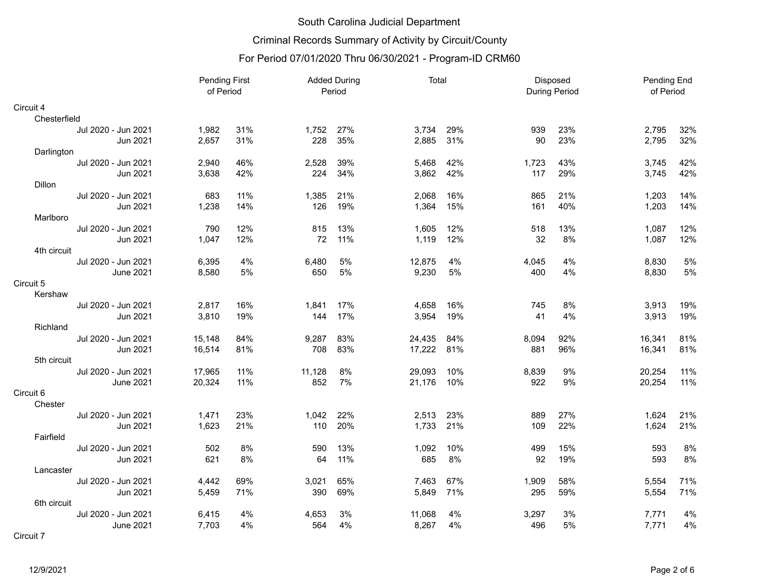# Criminal Records Summary of Activity by Circuit/County

|                     | Pending First<br>of Period |     | <b>Added During</b><br>Period |     | Total  |     | Disposed<br><b>During Period</b> |     | Pending End<br>of Period |     |
|---------------------|----------------------------|-----|-------------------------------|-----|--------|-----|----------------------------------|-----|--------------------------|-----|
| Circuit 4           |                            |     |                               |     |        |     |                                  |     |                          |     |
| Chesterfield        |                            |     |                               |     |        |     |                                  |     |                          |     |
| Jul 2020 - Jun 2021 | 1,982                      | 31% | 1,752                         | 27% | 3,734  | 29% | 939                              | 23% | 2,795                    | 32% |
| Jun 2021            | 2,657                      | 31% | 228                           | 35% | 2,885  | 31% | 90                               | 23% | 2,795                    | 32% |
| Darlington          |                            |     |                               |     |        |     |                                  |     |                          |     |
| Jul 2020 - Jun 2021 | 2,940                      | 46% | 2,528                         | 39% | 5,468  | 42% | 1,723                            | 43% | 3,745                    | 42% |
| Jun 2021            | 3,638                      | 42% | 224                           | 34% | 3,862  | 42% | 117                              | 29% | 3,745                    | 42% |
| <b>Dillon</b>       |                            |     |                               |     |        |     |                                  |     |                          |     |
| Jul 2020 - Jun 2021 | 683                        | 11% | 1,385                         | 21% | 2,068  | 16% | 865                              | 21% | 1,203                    | 14% |
| Jun 2021            | 1,238                      | 14% | 126                           | 19% | 1,364  | 15% | 161                              | 40% | 1,203                    | 14% |
| Marlboro            |                            |     |                               |     |        |     |                                  |     |                          |     |
| Jul 2020 - Jun 2021 | 790                        | 12% | 815                           | 13% | 1,605  | 12% | 518                              | 13% | 1,087                    | 12% |
| Jun 2021            | 1,047                      | 12% | 72                            | 11% | 1,119  | 12% | 32                               | 8%  | 1,087                    | 12% |
| 4th circuit         |                            |     |                               |     |        |     |                                  |     |                          |     |
| Jul 2020 - Jun 2021 | 6,395                      | 4%  | 6,480                         | 5%  | 12,875 | 4%  | 4,045                            | 4%  | 8,830                    | 5%  |
| <b>June 2021</b>    | 8,580                      | 5%  | 650                           | 5%  | 9,230  | 5%  | 400                              | 4%  | 8,830                    | 5%  |
| Circuit 5           |                            |     |                               |     |        |     |                                  |     |                          |     |
| Kershaw             |                            |     |                               |     |        |     |                                  |     |                          |     |
| Jul 2020 - Jun 2021 | 2,817                      | 16% | 1.841                         | 17% | 4,658  | 16% | 745                              | 8%  | 3,913                    | 19% |
| Jun 2021            | 3,810                      | 19% | 144                           | 17% | 3,954  | 19% | 41                               | 4%  | 3,913                    | 19% |
| Richland            |                            |     |                               |     |        |     |                                  |     |                          |     |
| Jul 2020 - Jun 2021 | 15,148                     | 84% | 9,287                         | 83% | 24,435 | 84% | 8,094                            | 92% | 16,341                   | 81% |
| Jun 2021            | 16,514                     | 81% | 708                           | 83% | 17,222 | 81% | 881                              | 96% | 16,341                   | 81% |
| 5th circuit         |                            |     |                               |     |        |     |                                  |     |                          |     |
| Jul 2020 - Jun 2021 | 17,965                     | 11% | 11,128                        | 8%  | 29,093 | 10% | 8,839                            | 9%  | 20,254                   | 11% |
| <b>June 2021</b>    | 20,324                     | 11% | 852                           | 7%  | 21,176 | 10% | 922                              | 9%  | 20,254                   | 11% |
| Circuit 6           |                            |     |                               |     |        |     |                                  |     |                          |     |
| Chester             |                            |     |                               |     |        |     |                                  |     |                          |     |
| Jul 2020 - Jun 2021 | 1,471                      | 23% | 1,042                         | 22% | 2,513  | 23% | 889                              | 27% | 1,624                    | 21% |
| Jun 2021            | 1,623                      | 21% | 110                           | 20% | 1,733  | 21% | 109                              | 22% | 1,624                    | 21% |
| Fairfield           |                            |     |                               |     |        |     |                                  |     |                          |     |
| Jul 2020 - Jun 2021 | 502                        | 8%  | 590                           | 13% | 1,092  | 10% | 499                              | 15% | 593                      | 8%  |
| Jun 2021            | 621                        | 8%  | 64                            | 11% | 685    | 8%  | 92                               | 19% | 593                      | 8%  |
| Lancaster           |                            |     |                               |     |        |     |                                  |     |                          |     |
| Jul 2020 - Jun 2021 | 4,442                      | 69% | 3,021                         | 65% | 7,463  | 67% | 1,909                            | 58% | 5,554                    | 71% |
| Jun 2021            | 5,459                      | 71% | 390                           | 69% | 5,849  | 71% | 295                              | 59% | 5,554                    | 71% |
| 6th circuit         |                            |     |                               |     |        |     |                                  |     |                          |     |
| Jul 2020 - Jun 2021 | 6,415                      | 4%  | 4,653                         | 3%  | 11,068 | 4%  | 3,297                            | 3%  | 7,771                    | 4%  |
| <b>June 2021</b>    | 7,703                      | 4%  | 564                           | 4%  | 8,267  | 4%  | 496                              | 5%  | 7,771                    | 4%  |
| Circuit 7           |                            |     |                               |     |        |     |                                  |     |                          |     |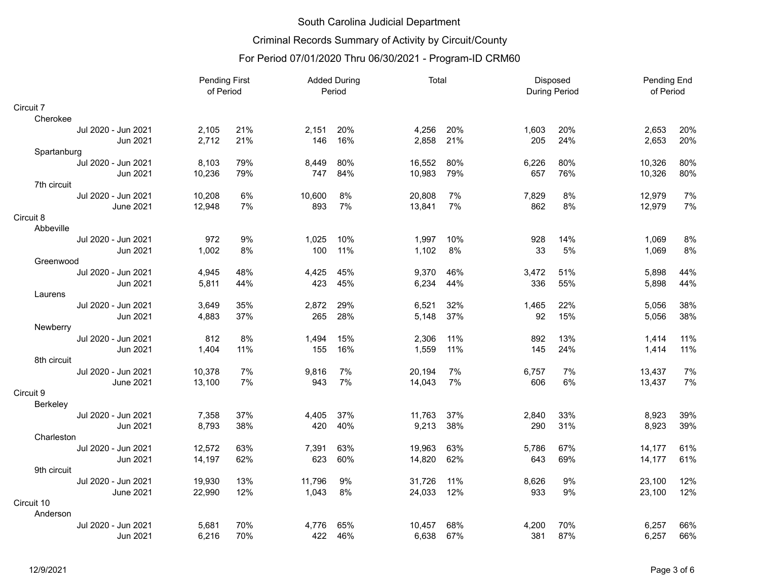# Criminal Records Summary of Activity by Circuit/County

|                     | <b>Pending First</b><br>of Period |     | <b>Added During</b><br>Period |     | Total  |     | Disposed<br>During Period |     | Pending End<br>of Period |     |
|---------------------|-----------------------------------|-----|-------------------------------|-----|--------|-----|---------------------------|-----|--------------------------|-----|
| Circuit 7           |                                   |     |                               |     |        |     |                           |     |                          |     |
| Cherokee            |                                   |     |                               |     |        |     |                           |     |                          |     |
| Jul 2020 - Jun 2021 | 2,105                             | 21% | 2,151                         | 20% | 4,256  | 20% | 1,603                     | 20% | 2,653                    | 20% |
| Jun 2021            | 2,712                             | 21% | 146                           | 16% | 2,858  | 21% | 205                       | 24% | 2,653                    | 20% |
| Spartanburg         |                                   |     |                               |     |        |     |                           |     |                          |     |
| Jul 2020 - Jun 2021 | 8,103                             | 79% | 8,449                         | 80% | 16,552 | 80% | 6,226                     | 80% | 10,326                   | 80% |
| Jun 2021            | 10,236                            | 79% | 747                           | 84% | 10,983 | 79% | 657                       | 76% | 10,326                   | 80% |
| 7th circuit         |                                   |     |                               |     |        |     |                           |     |                          |     |
| Jul 2020 - Jun 2021 | 10,208                            | 6%  | 10,600                        | 8%  | 20,808 | 7%  | 7,829                     | 8%  | 12.979                   | 7%  |
| <b>June 2021</b>    | 12,948                            | 7%  | 893                           | 7%  | 13,841 | 7%  | 862                       | 8%  | 12,979                   | 7%  |
| Circuit 8           |                                   |     |                               |     |        |     |                           |     |                          |     |
| Abbeville           |                                   |     |                               |     |        |     |                           |     |                          |     |
| Jul 2020 - Jun 2021 | 972                               | 9%  | 1,025                         | 10% | 1,997  | 10% | 928                       | 14% | 1,069                    | 8%  |
| Jun 2021            | 1,002                             | 8%  | 100                           | 11% | 1,102  | 8%  | 33                        | 5%  | 1,069                    | 8%  |
| Greenwood           |                                   |     |                               |     |        |     |                           |     |                          |     |
| Jul 2020 - Jun 2021 | 4,945                             | 48% | 4,425                         | 45% | 9,370  | 46% | 3,472                     | 51% | 5,898                    | 44% |
| Jun 2021            | 5,811                             | 44% | 423                           | 45% | 6,234  | 44% | 336                       | 55% | 5,898                    | 44% |
| Laurens             |                                   |     |                               |     |        |     |                           |     |                          |     |
| Jul 2020 - Jun 2021 | 3,649                             | 35% | 2,872                         | 29% | 6,521  | 32% | 1,465                     | 22% | 5,056                    | 38% |
| Jun 2021            | 4,883                             | 37% | 265                           | 28% | 5,148  | 37% | 92                        | 15% | 5,056                    | 38% |
| Newberry            |                                   |     |                               |     |        |     |                           |     |                          |     |
| Jul 2020 - Jun 2021 | 812                               | 8%  | 1,494                         | 15% | 2,306  | 11% | 892                       | 13% | 1,414                    | 11% |
| Jun 2021            | 1,404                             | 11% | 155                           | 16% | 1,559  | 11% | 145                       | 24% | 1,414                    | 11% |
| 8th circuit         |                                   |     |                               |     |        |     |                           |     |                          |     |
| Jul 2020 - Jun 2021 | 10,378                            | 7%  | 9,816                         | 7%  | 20,194 | 7%  | 6,757                     | 7%  | 13,437                   | 7%  |
| June 2021           | 13,100                            | 7%  | 943                           | 7%  | 14,043 | 7%  | 606                       | 6%  | 13,437                   | 7%  |
| Circuit 9           |                                   |     |                               |     |        |     |                           |     |                          |     |
| Berkeley            |                                   |     |                               |     |        |     |                           |     |                          |     |
| Jul 2020 - Jun 2021 | 7,358                             | 37% | 4,405                         | 37% | 11,763 | 37% | 2,840                     | 33% | 8,923                    | 39% |
| Jun 2021            | 8,793                             | 38% | 420                           | 40% | 9,213  | 38% | 290                       | 31% | 8,923                    | 39% |
| Charleston          |                                   |     |                               |     |        |     |                           |     |                          |     |
| Jul 2020 - Jun 2021 | 12,572                            | 63% | 7,391                         | 63% | 19,963 | 63% | 5,786                     | 67% | 14,177                   | 61% |
| Jun 2021            | 14,197                            | 62% | 623                           | 60% | 14,820 | 62% | 643                       | 69% | 14,177                   | 61% |
| 9th circuit         |                                   |     |                               |     |        |     |                           |     |                          |     |
| Jul 2020 - Jun 2021 | 19,930                            | 13% | 11,796                        | 9%  | 31,726 | 11% | 8,626                     | 9%  | 23,100                   | 12% |
| <b>June 2021</b>    | 22,990                            | 12% | 1,043                         | 8%  | 24,033 | 12% | 933                       | 9%  | 23,100                   | 12% |
| Circuit 10          |                                   |     |                               |     |        |     |                           |     |                          |     |
| Anderson            |                                   |     |                               |     |        |     |                           |     |                          |     |
| Jul 2020 - Jun 2021 | 5,681                             | 70% | 4.776                         | 65% | 10,457 | 68% | 4,200                     | 70% | 6,257                    | 66% |
| Jun 2021            | 6,216                             | 70% | 422                           | 46% | 6,638  | 67% | 381                       | 87% | 6,257                    | 66% |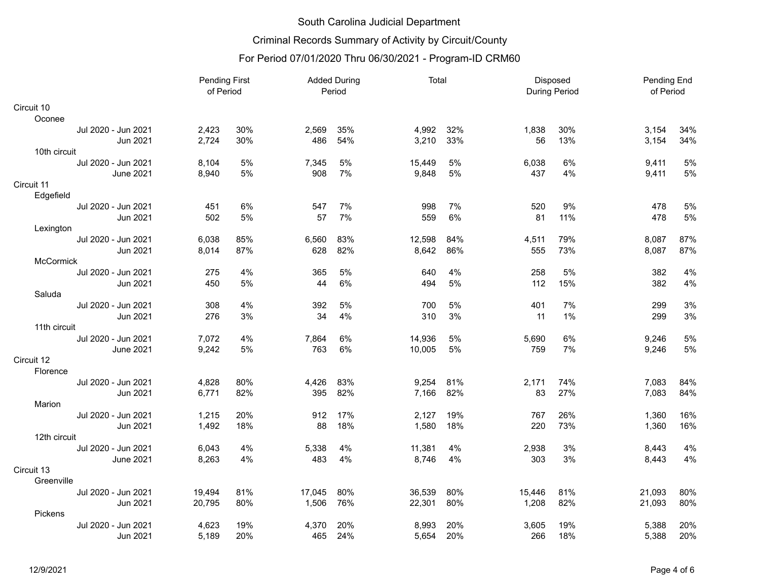# Criminal Records Summary of Activity by Circuit/County

|                     |        | <b>Pending First</b><br>of Period |        | <b>Added During</b><br>Period |        | Total |        | Disposed<br><b>During Period</b> |        | Pending End<br>of Period |
|---------------------|--------|-----------------------------------|--------|-------------------------------|--------|-------|--------|----------------------------------|--------|--------------------------|
| Circuit 10          |        |                                   |        |                               |        |       |        |                                  |        |                          |
| Oconee              |        |                                   |        |                               |        |       |        |                                  |        |                          |
| Jul 2020 - Jun 2021 | 2,423  | 30%                               | 2,569  | 35%                           | 4,992  | 32%   | 1,838  | 30%                              | 3,154  | 34%                      |
| Jun 2021            | 2,724  | 30%                               | 486    | 54%                           | 3,210  | 33%   | 56     | 13%                              | 3,154  | 34%                      |
| 10th circuit        |        |                                   |        |                               |        |       |        |                                  |        |                          |
| Jul 2020 - Jun 2021 | 8,104  | 5%                                | 7,345  | 5%                            | 15,449 | 5%    | 6,038  | 6%                               | 9,411  | 5%                       |
| <b>June 2021</b>    | 8,940  | 5%                                | 908    | 7%                            | 9,848  | 5%    | 437    | 4%                               | 9,411  | 5%                       |
| Circuit 11          |        |                                   |        |                               |        |       |        |                                  |        |                          |
| Edgefield           |        |                                   |        |                               |        |       |        |                                  |        |                          |
| Jul 2020 - Jun 2021 | 451    | 6%                                | 547    | 7%                            | 998    | 7%    | 520    | 9%                               | 478    | 5%                       |
| Jun 2021            | 502    | 5%                                | 57     | 7%                            | 559    | 6%    | 81     | 11%                              | 478    | 5%                       |
| Lexington           |        |                                   |        |                               |        |       |        |                                  |        |                          |
| Jul 2020 - Jun 2021 | 6.038  | 85%                               | 6,560  | 83%                           | 12,598 | 84%   | 4,511  | 79%                              | 8,087  | 87%                      |
| Jun 2021            | 8,014  | 87%                               | 628    | 82%                           | 8,642  | 86%   | 555    | 73%                              | 8,087  | 87%                      |
| McCormick           |        |                                   |        |                               |        |       |        |                                  |        |                          |
| Jul 2020 - Jun 2021 | 275    | 4%                                | 365    | 5%                            | 640    | 4%    | 258    | 5%                               | 382    | 4%                       |
| Jun 2021            | 450    | 5%                                | 44     | 6%                            | 494    | 5%    | 112    | 15%                              | 382    | 4%                       |
| Saluda              |        |                                   |        |                               |        |       |        |                                  |        |                          |
| Jul 2020 - Jun 2021 | 308    | 4%                                | 392    | 5%                            | 700    | 5%    | 401    | 7%                               | 299    | 3%                       |
| Jun 2021            | 276    | 3%                                | 34     | 4%                            | 310    | 3%    | 11     | 1%                               | 299    | 3%                       |
| 11th circuit        |        |                                   |        |                               |        |       |        |                                  |        |                          |
| Jul 2020 - Jun 2021 | 7,072  | 4%                                | 7,864  | 6%                            | 14,936 | 5%    | 5,690  | 6%                               | 9,246  | 5%                       |
| <b>June 2021</b>    | 9,242  | 5%                                | 763    | 6%                            | 10,005 | 5%    | 759    | 7%                               | 9,246  | 5%                       |
| Circuit 12          |        |                                   |        |                               |        |       |        |                                  |        |                          |
| Florence            |        |                                   |        |                               |        |       |        |                                  |        |                          |
| Jul 2020 - Jun 2021 | 4,828  | 80%                               | 4,426  | 83%                           | 9,254  | 81%   | 2.171  | 74%                              | 7,083  | 84%                      |
| Jun 2021            | 6,771  | 82%                               | 395    | 82%                           | 7,166  | 82%   | 83     | 27%                              | 7,083  | 84%                      |
| Marion              |        |                                   |        |                               |        |       |        |                                  |        |                          |
| Jul 2020 - Jun 2021 | 1,215  | 20%                               | 912    | 17%                           | 2,127  | 19%   | 767    | 26%                              | 1,360  | 16%                      |
| Jun 2021            | 1,492  | 18%                               | 88     | 18%                           | 1,580  | 18%   | 220    | 73%                              | 1,360  | 16%                      |
| 12th circuit        |        |                                   |        |                               |        |       |        |                                  |        |                          |
| Jul 2020 - Jun 2021 | 6,043  | 4%                                | 5,338  | 4%                            | 11,381 | 4%    | 2,938  | 3%                               | 8,443  | 4%                       |
| <b>June 2021</b>    | 8,263  | 4%                                | 483    | 4%                            | 8,746  | 4%    | 303    | 3%                               | 8,443  | 4%                       |
| Circuit 13          |        |                                   |        |                               |        |       |        |                                  |        |                          |
| Greenville          |        |                                   |        |                               |        |       |        |                                  |        |                          |
| Jul 2020 - Jun 2021 | 19,494 | 81%                               | 17,045 | 80%                           | 36,539 | 80%   | 15,446 | 81%                              | 21,093 | 80%                      |
| Jun 2021            | 20,795 | 80%                               | 1,506  | 76%                           | 22,301 | 80%   | 1,208  | 82%                              | 21,093 | 80%                      |
| Pickens             |        |                                   |        |                               |        |       |        |                                  |        |                          |
| Jul 2020 - Jun 2021 | 4,623  | 19%                               | 4,370  | 20%                           | 8,993  | 20%   | 3,605  | 19%                              | 5,388  | 20%                      |
| Jun 2021            | 5,189  | 20%                               | 465    | 24%                           | 5,654  | 20%   | 266    | 18%                              | 5,388  | 20%                      |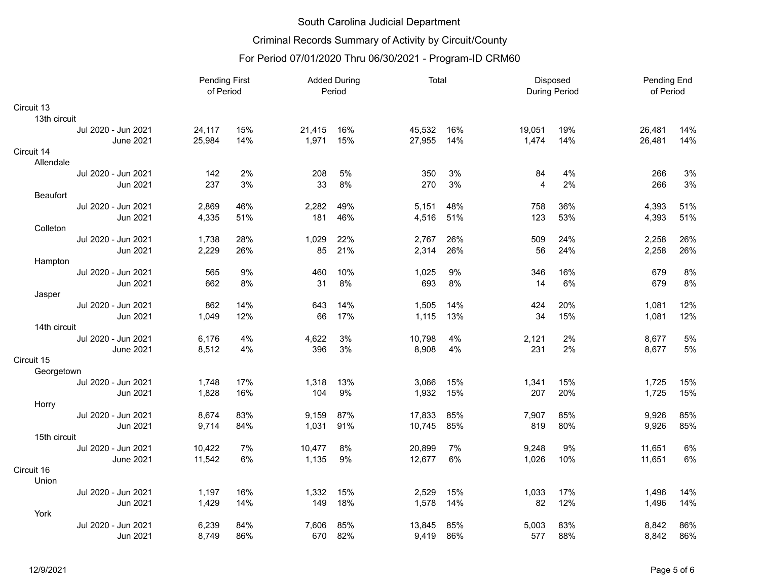# Criminal Records Summary of Activity by Circuit/County

|                 | <b>Pending First</b><br>of Period |        | <b>Added During</b><br>Period |        | Total |        | Disposed<br><b>During Period</b> |        | Pending End<br>of Period |        |     |
|-----------------|-----------------------------------|--------|-------------------------------|--------|-------|--------|----------------------------------|--------|--------------------------|--------|-----|
| Circuit 13      |                                   |        |                               |        |       |        |                                  |        |                          |        |     |
| 13th circuit    |                                   |        |                               |        |       |        |                                  |        |                          |        |     |
|                 | Jul 2020 - Jun 2021               | 24,117 | 15%                           | 21,415 | 16%   | 45,532 | 16%                              | 19,051 | 19%                      | 26,481 | 14% |
|                 | <b>June 2021</b>                  | 25,984 | 14%                           | 1,971  | 15%   | 27,955 | 14%                              | 1.474  | 14%                      | 26,481 | 14% |
| Circuit 14      |                                   |        |                               |        |       |        |                                  |        |                          |        |     |
| Allendale       |                                   |        |                               |        |       |        |                                  |        |                          |        |     |
|                 | Jul 2020 - Jun 2021               | 142    | 2%                            | 208    | 5%    | 350    | 3%                               | 84     | 4%                       | 266    | 3%  |
|                 | Jun 2021                          | 237    | 3%                            | 33     | 8%    | 270    | 3%                               | 4      | 2%                       | 266    | 3%  |
| <b>Beaufort</b> |                                   |        |                               |        |       |        |                                  |        |                          |        |     |
|                 | Jul 2020 - Jun 2021               | 2,869  | 46%                           | 2,282  | 49%   | 5,151  | 48%                              | 758    | 36%                      | 4,393  | 51% |
|                 | Jun 2021                          | 4,335  | 51%                           | 181    | 46%   | 4,516  | 51%                              | 123    | 53%                      | 4,393  | 51% |
| Colleton        |                                   |        |                               |        |       |        |                                  |        |                          |        |     |
|                 | Jul 2020 - Jun 2021               | 1,738  | 28%                           | 1.029  | 22%   | 2.767  | 26%                              | 509    | 24%                      | 2,258  | 26% |
|                 | Jun 2021                          | 2,229  | 26%                           | 85     | 21%   | 2,314  | 26%                              | 56     | 24%                      | 2,258  | 26% |
| Hampton         |                                   |        |                               |        |       |        |                                  |        |                          |        |     |
|                 | Jul 2020 - Jun 2021               | 565    | 9%                            | 460    | 10%   | 1,025  | 9%                               | 346    | 16%                      | 679    | 8%  |
|                 | Jun 2021                          | 662    | 8%                            | 31     | 8%    | 693    | 8%                               | 14     | 6%                       | 679    | 8%  |
| Jasper          |                                   |        |                               |        |       |        |                                  |        |                          |        |     |
|                 | Jul 2020 - Jun 2021               | 862    | 14%                           | 643    | 14%   | 1,505  | 14%                              | 424    | 20%                      | 1,081  | 12% |
|                 | Jun 2021                          | 1,049  | 12%                           | 66     | 17%   | 1,115  | 13%                              | 34     | 15%                      | 1,081  | 12% |
| 14th circuit    |                                   |        |                               |        |       |        |                                  |        |                          |        |     |
|                 | Jul 2020 - Jun 2021               | 6,176  | 4%                            | 4,622  | 3%    | 10,798 | 4%                               | 2,121  | 2%                       | 8,677  | 5%  |
|                 | <b>June 2021</b>                  | 8,512  | 4%                            | 396    | 3%    | 8,908  | 4%                               | 231    | 2%                       | 8,677  | 5%  |
| Circuit 15      |                                   |        |                               |        |       |        |                                  |        |                          |        |     |
| Georgetown      |                                   |        |                               |        |       |        |                                  |        |                          |        |     |
|                 | Jul 2020 - Jun 2021               | 1,748  | 17%                           | 1,318  | 13%   | 3,066  | 15%                              | 1,341  | 15%                      | 1,725  | 15% |
|                 | Jun 2021                          | 1,828  | 16%                           | 104    | 9%    | 1,932  | 15%                              | 207    | 20%                      | 1,725  | 15% |
| Horry           |                                   |        |                               |        |       |        |                                  |        |                          |        |     |
|                 | Jul 2020 - Jun 2021               | 8,674  | 83%                           | 9,159  | 87%   | 17,833 | 85%                              | 7,907  | 85%                      | 9,926  | 85% |
|                 | Jun 2021                          | 9,714  | 84%                           | 1,031  | 91%   | 10,745 | 85%                              | 819    | 80%                      | 9,926  | 85% |
| 15th circuit    |                                   |        |                               |        |       |        |                                  |        |                          |        |     |
|                 | Jul 2020 - Jun 2021               | 10,422 | 7%                            | 10,477 | 8%    | 20,899 | 7%                               | 9,248  | 9%                       | 11,651 | 6%  |
|                 | <b>June 2021</b>                  | 11,542 | 6%                            | 1,135  | 9%    | 12,677 | 6%                               | 1,026  | 10%                      | 11,651 | 6%  |
| Circuit 16      |                                   |        |                               |        |       |        |                                  |        |                          |        |     |
| Union           |                                   |        |                               |        |       |        |                                  |        |                          |        |     |
|                 | Jul 2020 - Jun 2021               | 1,197  | 16%                           | 1,332  | 15%   | 2,529  | 15%                              | 1,033  | 17%                      | 1,496  | 14% |
|                 | Jun 2021                          | 1,429  | 14%                           | 149    | 18%   | 1,578  | 14%                              | 82     | 12%                      | 1,496  | 14% |
| York            |                                   |        |                               |        |       |        |                                  |        |                          |        |     |
|                 | Jul 2020 - Jun 2021               | 6,239  | 84%                           | 7.606  | 85%   | 13,845 | 85%                              | 5,003  | 83%                      | 8,842  | 86% |
|                 | Jun 2021                          | 8,749  | 86%                           | 670    | 82%   | 9,419  | 86%                              | 577    | 88%                      | 8,842  | 86% |